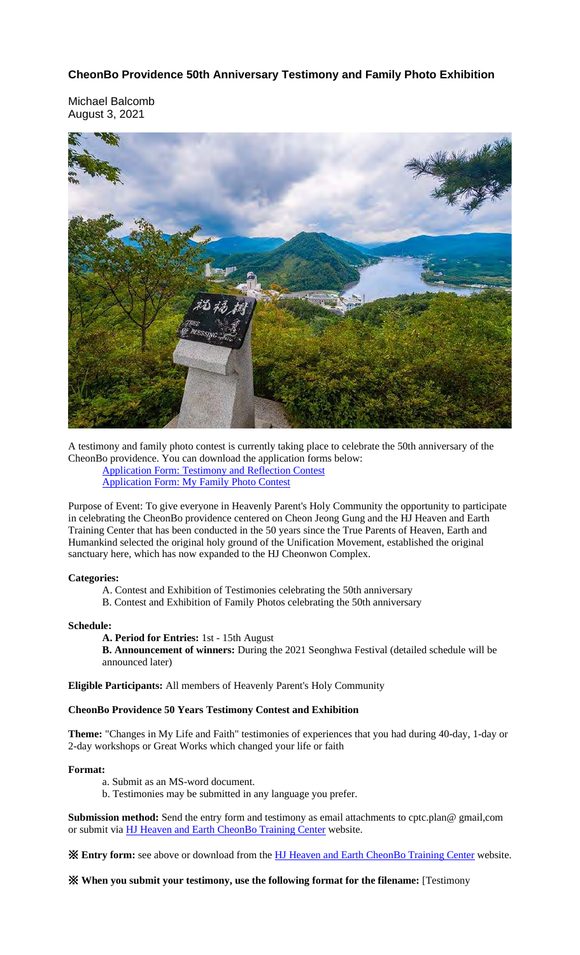# **CheonBo Providence 50th Anniversary Testimony and Family Photo Exhibition**

Michael Balcomb August 3, 2021



A testimony and family photo contest is currently taking place to celebrate the 50th anniversary of the CheonBo providence. You can download the application forms below: Application Form: Testimony and Reflection Contest Application Form: My Family Photo Contest

Purpose of Event: To give everyone in Heavenly Parent's Holy Community the opportunity to participate in celebrating the CheonBo providence centered on Cheon Jeong Gung and the HJ Heaven and Earth Training Center that has been conducted in the 50 years since the True Parents of Heaven, Earth and Humankind selected the original holy ground of the Unification Movement, established the original sanctuary here, which has now expanded to the HJ Cheonwon Complex.

#### **Categories:**

- A. Contest and Exhibition of Testimonies celebrating the 50th anniversary
- B. Contest and Exhibition of Family Photos celebrating the 50th anniversary

#### **Schedule:**

**A. Period for Entries:** 1st - 15th August

**B. Announcement of winners:** During the 2021 Seonghwa Festival (detailed schedule will be announced later)

**Eligible Participants:** All members of Heavenly Parent's Holy Community

#### **CheonBo Providence 50 Years Testimony Contest and Exhibition**

**Theme:** "Changes in My Life and Faith" testimonies of experiences that you had during 40-day, 1-day or 2-day workshops or Great Works which changed your life or faith

#### **Format:**

- a. Submit as an MS-word document.
- b. Testimonies may be submitted in any language you prefer.

**Submission method:** Send the entry form and testimony as email attachments to cptc.plan@ gmail,com or submit via **HJ** Heaven and Earth CheonBo Training Center website.

※ **Entry form:** see above or download from the HJ Heaven and Earth CheonBo Training Center website.

※ **When you submit your testimony, use the following format for the filename:** [Testimony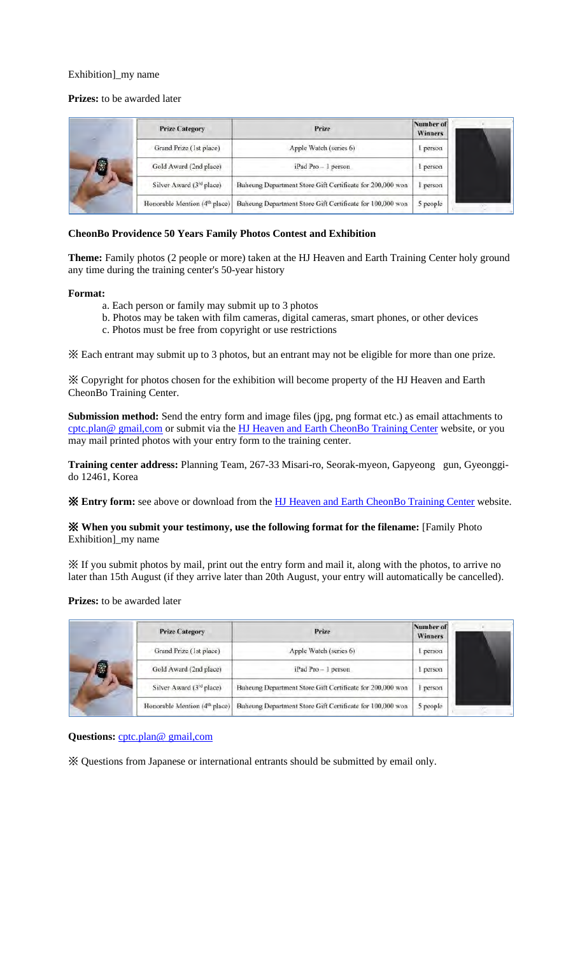### Exhibition]\_my name

#### **Prizes:** to be awarded later

|    | <b>Prize Category</b>                     | Prize                                                     | Number of<br><b>Winners</b> |  |
|----|-------------------------------------------|-----------------------------------------------------------|-----------------------------|--|
|    | Grand Prize (1st place)                   | Apple Watch (series 6)                                    | person                      |  |
| a. | Gold Award (2nd place)                    | iPad Pro - 1 person                                       | person                      |  |
|    | Silver Award (3rd place)                  | Buheung Department Store Gift Certificate for 200,000 won | person                      |  |
|    | Honorable Mention (4 <sup>th</sup> place) | Buheung Department Store Gift Certificate for 100,000 won | 5 people                    |  |

## **CheonBo Providence 50 Years Family Photos Contest and Exhibition**

**Theme:** Family photos (2 people or more) taken at the HJ Heaven and Earth Training Center holy ground any time during the training center's 50-year history

#### **Format:**

- a. Each person or family may submit up to 3 photos
- b. Photos may be taken with film cameras, digital cameras, smart phones, or other devices
- c. Photos must be free from copyright or use restrictions

※ Each entrant may submit up to 3 photos, but an entrant may not be eligible for more than one prize.

※ Copyright for photos chosen for the exhibition will become property of the HJ Heaven and Earth CheonBo Training Center.

**Submission method:** Send the entry form and image files (jpg, png format etc.) as email attachments to cptc.plan@ gmail,com or submit via the HJ Heaven and Earth CheonBo Training Center website, or you may mail printed photos with your entry form to the training center.

**Training center address:** Planning Team, 267-33 Misari-ro, Seorak-myeon, Gapyeong gun, Gyeonggido 12461, Korea

※ **Entry form:** see above or download from the HJ Heaven and Earth CheonBo Training Center website.

### ※ **When you submit your testimony, use the following format for the filename:** [Family Photo Exhibition]\_my name

※ If you submit photos by mail, print out the entry form and mail it, along with the photos, to arrive no later than 15th August (if they arrive later than 20th August, your entry will automatically be cancelled).

#### **Prizes:** to be awarded later

|   | <b>Prize Category</b>                     | Prize                                                     | Number of<br><b>Winners</b> |  |
|---|-------------------------------------------|-----------------------------------------------------------|-----------------------------|--|
|   | Grand Prize (1st place)                   | Apple Watch (series 6)                                    | person                      |  |
| Ŧ | Gold Award (2nd place)                    | iPad Pro - 1 person                                       | person                      |  |
|   | Silver Award (3 <sup>rd</sup> place)      | Buheung Department Store Gift Certificate for 200,000 won | person                      |  |
|   | Honorable Mention (4 <sup>th</sup> place) | Buheung Department Store Gift Certificate for 100,000 won | 5 people                    |  |

### **Questions:** cptc.plan@ gmail,com

※ Questions from Japanese or international entrants should be submitted by email only.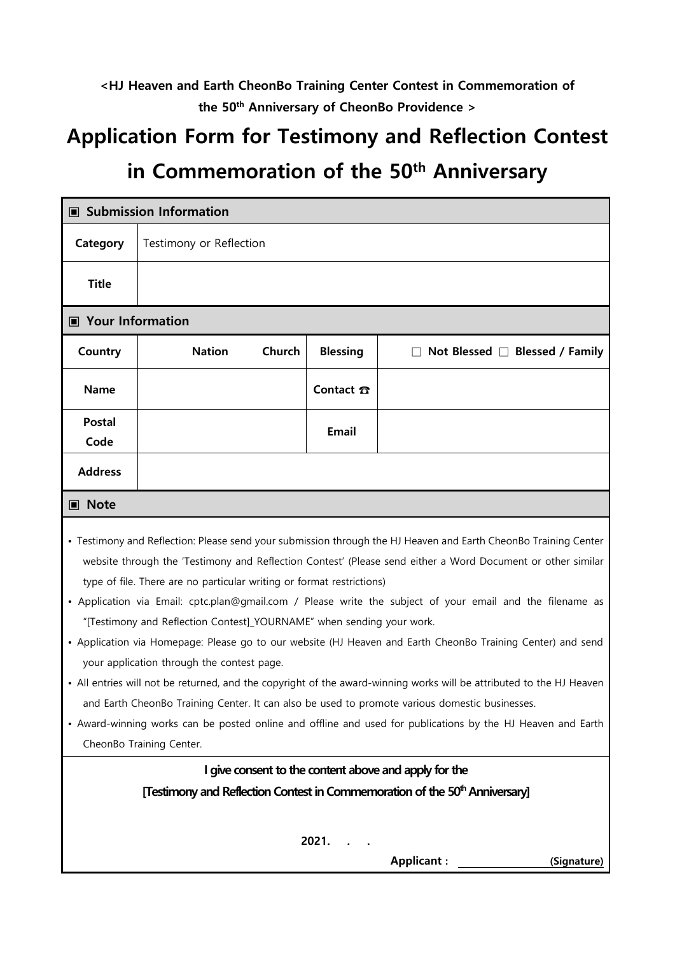**<HJ Heaven and Earth CheonBo Training Center Contest in Commemoration of the 50th Anniversary of CheonBo Providence >**

# **Application Form for Testimony and Reflection Contest in Commemoration of the 50th Anniversary**

| <b>■ Submission Information</b>                                                                                                                                                                                                                                                                                                                                                                                                                                                                                                                                                                                                                                                                                                                                                                                                                                                                                                                                                                                                 |                                  |                           |                                            |  |  |
|---------------------------------------------------------------------------------------------------------------------------------------------------------------------------------------------------------------------------------------------------------------------------------------------------------------------------------------------------------------------------------------------------------------------------------------------------------------------------------------------------------------------------------------------------------------------------------------------------------------------------------------------------------------------------------------------------------------------------------------------------------------------------------------------------------------------------------------------------------------------------------------------------------------------------------------------------------------------------------------------------------------------------------|----------------------------------|---------------------------|--------------------------------------------|--|--|
| Category                                                                                                                                                                                                                                                                                                                                                                                                                                                                                                                                                                                                                                                                                                                                                                                                                                                                                                                                                                                                                        | Testimony or Reflection          |                           |                                            |  |  |
| <b>Title</b>                                                                                                                                                                                                                                                                                                                                                                                                                                                                                                                                                                                                                                                                                                                                                                                                                                                                                                                                                                                                                    |                                  |                           |                                            |  |  |
| ■ Your Information                                                                                                                                                                                                                                                                                                                                                                                                                                                                                                                                                                                                                                                                                                                                                                                                                                                                                                                                                                                                              |                                  |                           |                                            |  |  |
| Country                                                                                                                                                                                                                                                                                                                                                                                                                                                                                                                                                                                                                                                                                                                                                                                                                                                                                                                                                                                                                         | Church<br><b>Nation</b>          | <b>Blessing</b>           | $\Box$ Not Blessed $\Box$ Blessed / Family |  |  |
| Name                                                                                                                                                                                                                                                                                                                                                                                                                                                                                                                                                                                                                                                                                                                                                                                                                                                                                                                                                                                                                            |                                  | Contact $\mathbf{\Omega}$ |                                            |  |  |
| <b>Postal</b><br>Code                                                                                                                                                                                                                                                                                                                                                                                                                                                                                                                                                                                                                                                                                                                                                                                                                                                                                                                                                                                                           |                                  | <b>Email</b>              |                                            |  |  |
| <b>Address</b>                                                                                                                                                                                                                                                                                                                                                                                                                                                                                                                                                                                                                                                                                                                                                                                                                                                                                                                                                                                                                  |                                  |                           |                                            |  |  |
| <b>■</b> Note                                                                                                                                                                                                                                                                                                                                                                                                                                                                                                                                                                                                                                                                                                                                                                                                                                                                                                                                                                                                                   |                                  |                           |                                            |  |  |
| • Testimony and Reflection: Please send your submission through the HJ Heaven and Earth CheonBo Training Center<br>website through the 'Testimony and Reflection Contest' (Please send either a Word Document or other similar<br>type of file. There are no particular writing or format restrictions)<br>• Application via Email: cptc.plan@gmail.com / Please write the subject of your email and the filename as<br>"[Testimony and Reflection Contest]_YOURNAME" when sending your work.<br>• Application via Homepage: Please go to our website (HJ Heaven and Earth CheonBo Training Center) and send<br>your application through the contest page.<br>• All entries will not be returned, and the copyright of the award-winning works will be attributed to the HJ Heaven<br>and Earth CheonBo Training Center. It can also be used to promote various domestic businesses.<br>• Award-winning works can be posted online and offline and used for publications by the HJ Heaven and Earth<br>CheonBo Training Center. |                                  |                           |                                            |  |  |
| I give consent to the content above and apply for the                                                                                                                                                                                                                                                                                                                                                                                                                                                                                                                                                                                                                                                                                                                                                                                                                                                                                                                                                                           |                                  |                           |                                            |  |  |
| [Testimony and Reflection Contest in Commemoration of the 50 <sup>th</sup> Anniversary]                                                                                                                                                                                                                                                                                                                                                                                                                                                                                                                                                                                                                                                                                                                                                                                                                                                                                                                                         |                                  |                           |                                            |  |  |
|                                                                                                                                                                                                                                                                                                                                                                                                                                                                                                                                                                                                                                                                                                                                                                                                                                                                                                                                                                                                                                 | 2021.                            |                           |                                            |  |  |
|                                                                                                                                                                                                                                                                                                                                                                                                                                                                                                                                                                                                                                                                                                                                                                                                                                                                                                                                                                                                                                 | <b>Applicant:</b><br>(Signature) |                           |                                            |  |  |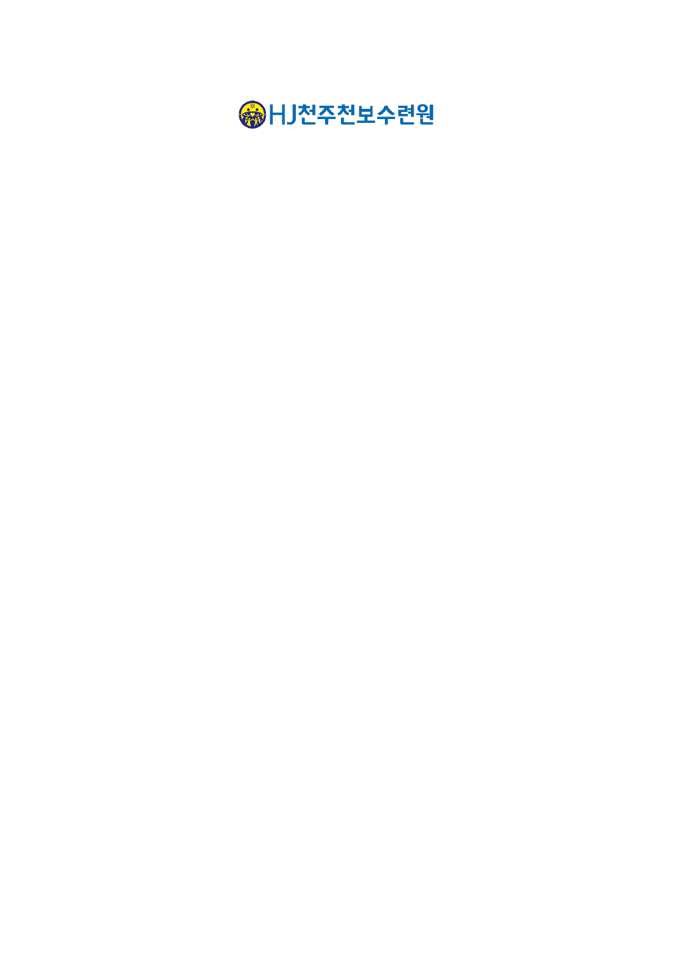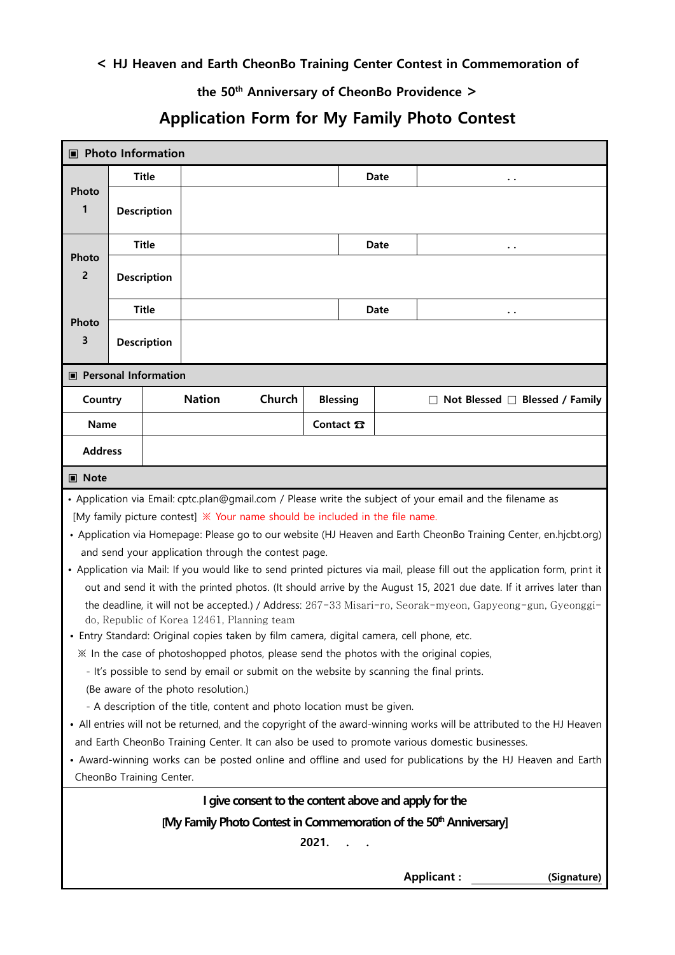**< HJ Heaven and Earth CheonBo Training Center Contest in Commemoration of** 

**the 50th Anniversary of CheonBo Providence >**

# **Application Form for My Family Photo Contest**

| <b>■ Photo Information</b>                                                                                                                                                                                                                                                                                                                                                                                                                                                                                                                                                                                                                                                                                                                                                                                                                                                                                                                                                                                                                                                                                                                                                                                                                                                                                                                                                                                                                                                                                                                                                |                                  |  |               |        |                           |                 |      |                                            |
|---------------------------------------------------------------------------------------------------------------------------------------------------------------------------------------------------------------------------------------------------------------------------------------------------------------------------------------------------------------------------------------------------------------------------------------------------------------------------------------------------------------------------------------------------------------------------------------------------------------------------------------------------------------------------------------------------------------------------------------------------------------------------------------------------------------------------------------------------------------------------------------------------------------------------------------------------------------------------------------------------------------------------------------------------------------------------------------------------------------------------------------------------------------------------------------------------------------------------------------------------------------------------------------------------------------------------------------------------------------------------------------------------------------------------------------------------------------------------------------------------------------------------------------------------------------------------|----------------------------------|--|---------------|--------|---------------------------|-----------------|------|--------------------------------------------|
|                                                                                                                                                                                                                                                                                                                                                                                                                                                                                                                                                                                                                                                                                                                                                                                                                                                                                                                                                                                                                                                                                                                                                                                                                                                                                                                                                                                                                                                                                                                                                                           | <b>Title</b>                     |  |               |        |                           |                 | Date |                                            |
| Photo<br>1                                                                                                                                                                                                                                                                                                                                                                                                                                                                                                                                                                                                                                                                                                                                                                                                                                                                                                                                                                                                                                                                                                                                                                                                                                                                                                                                                                                                                                                                                                                                                                | Description                      |  |               |        |                           |                 |      |                                            |
| <b>Title</b>                                                                                                                                                                                                                                                                                                                                                                                                                                                                                                                                                                                                                                                                                                                                                                                                                                                                                                                                                                                                                                                                                                                                                                                                                                                                                                                                                                                                                                                                                                                                                              |                                  |  |               | Date   | . .                       |                 |      |                                            |
| $\overline{2}$                                                                                                                                                                                                                                                                                                                                                                                                                                                                                                                                                                                                                                                                                                                                                                                                                                                                                                                                                                                                                                                                                                                                                                                                                                                                                                                                                                                                                                                                                                                                                            | Photo<br>Description             |  |               |        |                           |                 |      |                                            |
| Photo                                                                                                                                                                                                                                                                                                                                                                                                                                                                                                                                                                                                                                                                                                                                                                                                                                                                                                                                                                                                                                                                                                                                                                                                                                                                                                                                                                                                                                                                                                                                                                     | <b>Title</b>                     |  |               |        |                           |                 | Date |                                            |
| 3                                                                                                                                                                                                                                                                                                                                                                                                                                                                                                                                                                                                                                                                                                                                                                                                                                                                                                                                                                                                                                                                                                                                                                                                                                                                                                                                                                                                                                                                                                                                                                         | <b>Description</b>               |  |               |        |                           |                 |      |                                            |
|                                                                                                                                                                                                                                                                                                                                                                                                                                                                                                                                                                                                                                                                                                                                                                                                                                                                                                                                                                                                                                                                                                                                                                                                                                                                                                                                                                                                                                                                                                                                                                           | Personal Information             |  |               |        |                           |                 |      |                                            |
| Country                                                                                                                                                                                                                                                                                                                                                                                                                                                                                                                                                                                                                                                                                                                                                                                                                                                                                                                                                                                                                                                                                                                                                                                                                                                                                                                                                                                                                                                                                                                                                                   |                                  |  | <b>Nation</b> | Church |                           | <b>Blessing</b> |      | $\Box$ Not Blessed $\Box$ Blessed / Family |
|                                                                                                                                                                                                                                                                                                                                                                                                                                                                                                                                                                                                                                                                                                                                                                                                                                                                                                                                                                                                                                                                                                                                                                                                                                                                                                                                                                                                                                                                                                                                                                           | <b>Name</b>                      |  |               |        | Contact $\mathbf{\Omega}$ |                 |      |                                            |
| <b>Address</b>                                                                                                                                                                                                                                                                                                                                                                                                                                                                                                                                                                                                                                                                                                                                                                                                                                                                                                                                                                                                                                                                                                                                                                                                                                                                                                                                                                                                                                                                                                                                                            |                                  |  |               |        |                           |                 |      |                                            |
| ■ Note                                                                                                                                                                                                                                                                                                                                                                                                                                                                                                                                                                                                                                                                                                                                                                                                                                                                                                                                                                                                                                                                                                                                                                                                                                                                                                                                                                                                                                                                                                                                                                    |                                  |  |               |        |                           |                 |      |                                            |
| • Application via Email: cptc.plan@gmail.com / Please write the subject of your email and the filename as<br>[My family picture contest] $\mathbb X$ Your name should be included in the file name.<br>• Application via Homepage: Please go to our website (HJ Heaven and Earth CheonBo Training Center, en.hjcbt.org)<br>and send your application through the contest page.<br>• Application via Mail: If you would like to send printed pictures via mail, please fill out the application form, print it<br>out and send it with the printed photos. (It should arrive by the August 15, 2021 due date. If it arrives later than<br>the deadline, it will not be accepted.) / Address: 267-33 Misari-ro, Seorak-myeon, Gapyeong-gun, Gyeonggi-<br>do, Republic of Korea 12461, Planning team<br>· Entry Standard: Original copies taken by film camera, digital camera, cell phone, etc.<br>* In the case of photoshopped photos, please send the photos with the original copies,<br>- It's possible to send by email or submit on the website by scanning the final prints.<br>(Be aware of the photo resolution.)<br>- A description of the title, content and photo location must be given.<br>• All entries will not be returned, and the copyright of the award-winning works will be attributed to the HJ Heaven<br>and Earth CheonBo Training Center. It can also be used to promote various domestic businesses.<br>• Award-winning works can be posted online and offline and used for publications by the HJ Heaven and Earth<br>CheonBo Training Center. |                                  |  |               |        |                           |                 |      |                                            |
| I give consent to the content above and apply for the                                                                                                                                                                                                                                                                                                                                                                                                                                                                                                                                                                                                                                                                                                                                                                                                                                                                                                                                                                                                                                                                                                                                                                                                                                                                                                                                                                                                                                                                                                                     |                                  |  |               |        |                           |                 |      |                                            |
| [My Family Photo Contest in Commemoration of the 50 <sup>th</sup> Anniversary]                                                                                                                                                                                                                                                                                                                                                                                                                                                                                                                                                                                                                                                                                                                                                                                                                                                                                                                                                                                                                                                                                                                                                                                                                                                                                                                                                                                                                                                                                            |                                  |  |               |        |                           |                 |      |                                            |
| 2021.                                                                                                                                                                                                                                                                                                                                                                                                                                                                                                                                                                                                                                                                                                                                                                                                                                                                                                                                                                                                                                                                                                                                                                                                                                                                                                                                                                                                                                                                                                                                                                     |                                  |  |               |        |                           |                 |      |                                            |
|                                                                                                                                                                                                                                                                                                                                                                                                                                                                                                                                                                                                                                                                                                                                                                                                                                                                                                                                                                                                                                                                                                                                                                                                                                                                                                                                                                                                                                                                                                                                                                           | <b>Applicant:</b><br>(Signature) |  |               |        |                           |                 |      |                                            |